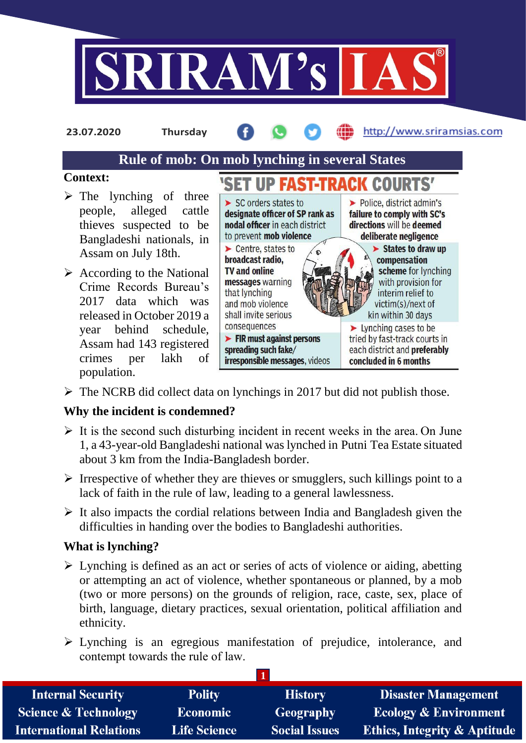

**23.07.2020 Thursday**

#### http://www.sriramsias.com

# **Rule of mob: On mob lynching in several States**

#### **Context:**

- $\triangleright$  The lynching of three people, alleged cattle thieves suspected to be Bangladeshi nationals, in Assam on July 18th.
- $\triangleright$  According to the National Crime Records Bureau's 2017 data which was released in October 2019 a year behind schedule, Assam had 143 registered crimes per lakh of population.



 $\triangleright$  The NCRB did collect data on lynchings in 2017 but did not publish those.

## **Why the incident is condemned?**

- $\triangleright$  It is the second such disturbing incident in recent weeks in the area. On June 1, a 43-year-old Bangladeshi national was lynched in Putni Tea Estate situated about 3 km from the India-Bangladesh border.
- $\triangleright$  Irrespective of whether they are thieves or smugglers, such killings point to a lack of faith in the rule of law, leading to a general lawlessness.
- $\triangleright$  It also impacts the cordial relations between India and Bangladesh given the difficulties in handing over the bodies to Bangladeshi authorities.

#### **What is lynching?**

- $\triangleright$  Lynching is defined as an act or series of acts of violence or aiding, abetting or attempting an act of violence, whether spontaneous or planned, by a mob (two or more persons) on the grounds of religion, race, caste, sex, place of birth, language, dietary practices, sexual orientation, political affiliation and ethnicity.
- Lynching is an egregious manifestation of prejudice, intolerance, and contempt towards the rule of law.

| <b>Internal Security</b>        | <b>Polity</b>       | <b>History</b>       | <b>Disaster Management</b>              |
|---------------------------------|---------------------|----------------------|-----------------------------------------|
| <b>Science &amp; Technology</b> | <b>Economic</b>     | <b>Geography</b>     | <b>Ecology &amp; Environment</b>        |
| <b>International Relations</b>  | <b>Life Science</b> | <b>Social Issues</b> | <b>Ethics, Integrity &amp; Aptitude</b> |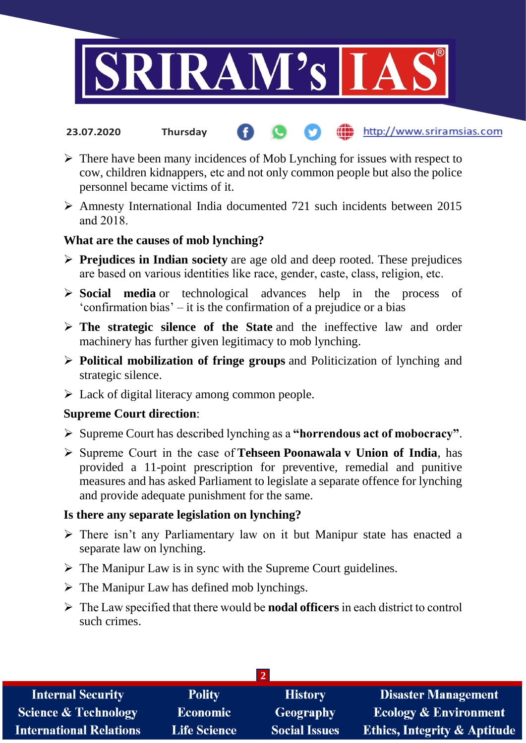

#### http://www.sriramsias.com **23.07.2020 Thursday**

- $\triangleright$  There have been many incidences of Mob Lynching for issues with respect to cow, children kidnappers, etc and not only common people but also the police personnel became victims of it.
- Amnesty International India documented 721 such incidents between 2015 and 2018.

#### **What are the causes of mob lynching?**

- **Prejudices in Indian society** are age old and deep rooted. These prejudices are based on various identities like race, gender, caste, class, religion, etc.
- **Social media** or technological advances help in the process of 'confirmation bias' – it is the confirmation of a prejudice or a bias
- **The strategic silence of the State** and the ineffective law and order machinery has further given legitimacy to mob lynching.
- **Political mobilization of fringe groups** and Politicization of lynching and strategic silence.
- $\triangleright$  Lack of digital literacy among common people.

## **Supreme Court direction**:

- Supreme Court has described lynching as a **"horrendous act of mobocracy"**.
- Supreme Court in the case of **Tehseen Poonawala v Union of India**, has provided a 11-point prescription for preventive, remedial and punitive measures and has asked Parliament to legislate a separate offence for lynching and provide adequate punishment for the same.

#### **Is there any separate legislation on lynching?**

- $\triangleright$  There isn't any Parliamentary law on it but Manipur state has enacted a separate law on lynching.
- $\triangleright$  The Manipur Law is in sync with the Supreme Court guidelines.
- $\triangleright$  The Manipur Law has defined mob lynchings.
- The Law specified that there would be **nodal officers** in each district to control such crimes.

| <b>Internal Security</b>        | <b>Polity</b>       | <b>History</b>       | <b>Disaster Management</b>              |  |  |  |
|---------------------------------|---------------------|----------------------|-----------------------------------------|--|--|--|
| <b>Science &amp; Technology</b> | <b>Economic</b>     | Geography            | <b>Ecology &amp; Environment</b>        |  |  |  |
| <b>International Relations</b>  | <b>Life Science</b> | <b>Social Issues</b> | <b>Ethics, Integrity &amp; Aptitude</b> |  |  |  |